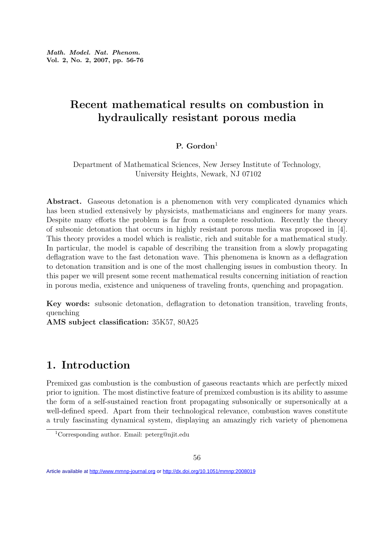# Recent mathematical results on combustion in hydraulically resistant porous media

#### P.  $Gordon<sup>1</sup>$

Department of Mathematical Sciences, New Jersey Institute of Technology, University Heights, Newark, NJ 07102

Abstract. Gaseous detonation is a phenomenon with very complicated dynamics which has been studied extensively by physicists, mathematicians and engineers for many years. Despite many efforts the problem is far from a complete resolution. Recently the theory of subsonic detonation that occurs in highly resistant porous media was proposed in [4]. This theory provides a model which is realistic, rich and suitable for a mathematical study. In particular, the model is capable of describing the transition from a slowly propagating deflagration wave to the fast detonation wave. This phenomena is known as a deflagration to detonation transition and is one of the most challenging issues in combustion theory. In this paper we will present some recent mathematical results concerning initiation of reaction in porous media, existence and uniqueness of traveling fronts, quenching and propagation.

Key words: subsonic detonation, deflagration to detonation transition, traveling fronts, quenching

AMS subject classification: 35K57, 80A25

## 1. Introduction

Premixed gas combustion is the combustion of gaseous reactants which are perfectly mixed prior to ignition. The most distinctive feature of premixed combustion is its ability to assume the form of a self-sustained reaction front propagating subsonically or supersonically at a well-defined speed. Apart from their technological relevance, combustion waves constitute a truly fascinating dynamical system, displaying an amazingly rich variety of phenomena

<sup>1</sup>Corresponding author. Email: peterg@njit.edu

Article available at<http://www.mmnp-journal.org> or <http://dx.doi.org/10.1051/mmnp:2008019>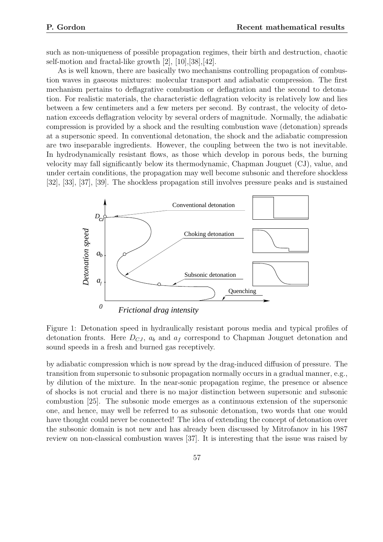such as non-uniqueness of possible propagation regimes, their birth and destruction, chaotic self-motion and fractal-like growth [2], [10],[38],[42].

As is well known, there are basically two mechanisms controlling propagation of combustion waves in gaseous mixtures: molecular transport and adiabatic compression. The first mechanism pertains to deflagrative combustion or deflagration and the second to detonation. For realistic materials, the characteristic deflagration velocity is relatively low and lies between a few centimeters and a few meters per second. By contrast, the velocity of detonation exceeds deflagration velocity by several orders of magnitude. Normally, the adiabatic compression is provided by a shock and the resulting combustion wave (detonation) spreads at a supersonic speed. In conventional detonation, the shock and the adiabatic compression are two inseparable ingredients. However, the coupling between the two is not inevitable. In hydrodynamically resistant flows, as those which develop in porous beds, the burning velocity may fall significantly below its thermodynamic, Chapman Jouguet (CJ), value, and under certain conditions, the propagation may well become subsonic and therefore shockless [32], [33], [37], [39]. The shockless propagation still involves pressure peaks and is sustained



Figure 1: Detonation speed in hydraulically resistant porous media and typical profiles of detonation fronts. Here  $D_{CJ}$ ,  $a_b$  and  $a_f$  correspond to Chapman Jouguet detonation and sound speeds in a fresh and burned gas receptively.

by adiabatic compression which is now spread by the drag-induced diffusion of pressure. The transition from supersonic to subsonic propagation normally occurs in a gradual manner, e.g., by dilution of the mixture. In the near-sonic propagation regime, the presence or absence of shocks is not crucial and there is no major distinction between supersonic and subsonic combustion [25]. The subsonic mode emerges as a continuous extension of the supersonic one, and hence, may well be referred to as subsonic detonation, two words that one would have thought could never be connected! The idea of extending the concept of detonation over the subsonic domain is not new and has already been discussed by Mitrofanov in his 1987 review on non-classical combustion waves [37]. It is interesting that the issue was raised by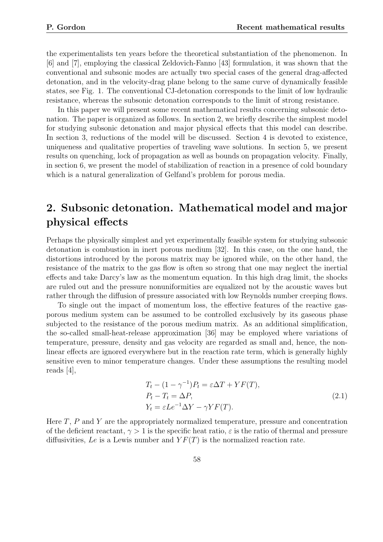the experimentalists ten years before the theoretical substantiation of the phenomenon. In [6] and [7], employing the classical Zeldovich-Fanno [43] formulation, it was shown that the conventional and subsonic modes are actually two special cases of the general drag-affected detonation, and in the velocity-drag plane belong to the same curve of dynamically feasible states, see Fig. 1. The conventional CJ-detonation corresponds to the limit of low hydraulic resistance, whereas the subsonic detonation corresponds to the limit of strong resistance.

In this paper we will present some recent mathematical results concerning subsonic detonation. The paper is organized as follows. In section 2, we briefly describe the simplest model for studying subsonic detonation and major physical effects that this model can describe. In section 3, reductions of the model will be discussed. Section 4 is devoted to existence, uniqueness and qualitative properties of traveling wave solutions. In section 5, we present results on quenching, lock of propagation as well as bounds on propagation velocity. Finally, in section 6, we present the model of stabilization of reaction in a presence of cold boundary which is a natural generalization of Gelfand's problem for porous media.

# 2. Subsonic detonation. Mathematical model and major physical effects

Perhaps the physically simplest and yet experimentally feasible system for studying subsonic detonation is combustion in inert porous medium [32]. In this case, on the one hand, the distortions introduced by the porous matrix may be ignored while, on the other hand, the resistance of the matrix to the gas flow is often so strong that one may neglect the inertial effects and take Darcy's law as the momentum equation. In this high drag limit, the shocks are ruled out and the pressure nonuniformities are equalized not by the acoustic waves but rather through the diffusion of pressure associated with low Reynolds number creeping flows.

To single out the impact of momentum loss, the effective features of the reactive gasporous medium system can be assumed to be controlled exclusively by its gaseous phase subjected to the resistance of the porous medium matrix. As an additional simplification, the so-called small-heat-release approximation [36] may be employed where variations of temperature, pressure, density and gas velocity are regarded as small and, hence, the nonlinear effects are ignored everywhere but in the reaction rate term, which is generally highly sensitive even to minor temperature changes. Under these assumptions the resulting model reads [4],

$$
T_t - (1 - \gamma^{-1})P_t = \varepsilon \Delta T + YF(T),
$$
  
\n
$$
P_t - T_t = \Delta P,
$$
  
\n
$$
Y_t = \varepsilon Le^{-1} \Delta Y - \gamma Y F(T).
$$
\n(2.1)

Here  $T$ ,  $P$  and  $Y$  are the appropriately normalized temperature, pressure and concentration of the deficient reactant,  $\gamma > 1$  is the specific heat ratio,  $\varepsilon$  is the ratio of thermal and pressure diffusivities, Le is a Lewis number and  $YF(T)$  is the normalized reaction rate.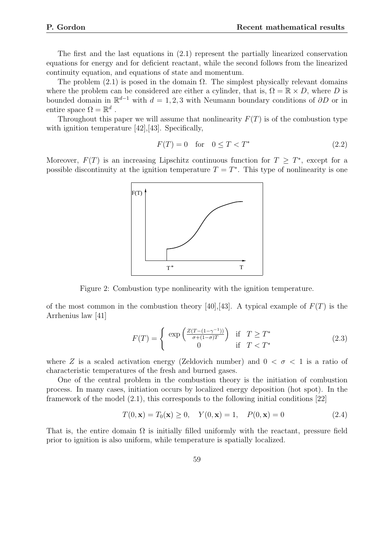The first and the last equations in (2.1) represent the partially linearized conservation equations for energy and for deficient reactant, while the second follows from the linearized continuity equation, and equations of state and momentum.

The problem  $(2.1)$  is posed in the domain  $\Omega$ . The simplest physically relevant domains where the problem can be considered are either a cylinder, that is,  $\Omega = \mathbb{R} \times D$ , where D is bounded domain in  $\mathbb{R}^{d-1}$  with  $d = 1, 2, 3$  with Neumann boundary conditions of  $\partial D$  or in entire space  $\Omega = \mathbb{R}^d$ .

Throughout this paper we will assume that nonlinearity  $F(T)$  is of the combustion type with ignition temperature [42], [43]. Specifically,

$$
F(T) = 0 \quad \text{for} \quad 0 \le T < T^* \tag{2.2}
$$

Moreover,  $F(T)$  is an increasing Lipschitz continuous function for  $T \geq T^*$ , except for a possible discontinuity at the ignition temperature  $T = T^*$ . This type of nonlinearity is one



Figure 2: Combustion type nonlinearity with the ignition temperature.

of the most common in the combustion theory [40],[43]. A typical example of  $F(T)$  is the Arrhenius law [41]

$$
F(T) = \begin{cases} \exp\left(\frac{Z(T - (1 - \gamma^{-1}))}{\sigma + (1 - \sigma)T}\right) & \text{if } T \ge T^*\\ 0 & \text{if } T < T^* \end{cases}
$$
 (2.3)

where Z is a scaled activation energy (Zeldovich number) and  $0 < \sigma < 1$  is a ratio of characteristic temperatures of the fresh and burned gases.

One of the central problem in the combustion theory is the initiation of combustion process. In many cases, initiation occurs by localized energy deposition (hot spot). In the framework of the model (2.1), this corresponds to the following initial conditions [22]

$$
T(0, \mathbf{x}) = T_0(\mathbf{x}) \ge 0, \quad Y(0, \mathbf{x}) = 1, \quad P(0, \mathbf{x}) = 0 \tag{2.4}
$$

That is, the entire domain  $\Omega$  is initially filled uniformly with the reactant, pressure field prior to ignition is also uniform, while temperature is spatially localized.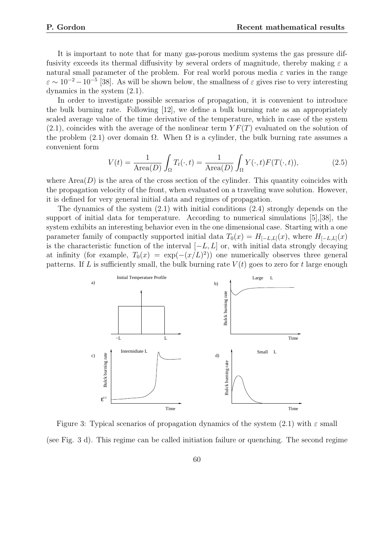It is important to note that for many gas-porous medium systems the gas pressure diffusivity exceeds its thermal diffusivity by several orders of magnitude, thereby making  $\varepsilon$  a natural small parameter of the problem. For real world porous media  $\varepsilon$  varies in the range  $\varepsilon \sim 10^{-2} - 10^{-5}$  [38]. As will be shown below, the smallness of  $\varepsilon$  gives rise to very interesting dynamics in the system (2.1).

In order to investigate possible scenarios of propagation, it is convenient to introduce the bulk burning rate. Following [12], we define a bulk burning rate as an appropriately scaled average value of the time derivative of the temperature, which in case of the system  $(2.1)$ , coincides with the average of the nonlinear term  $YF(T)$  evaluated on the solution of the problem (2.1) over domain  $\Omega$ . When  $\Omega$  is a cylinder, the bulk burning rate assumes a convenient form

$$
V(t) = \frac{1}{\text{Area}(D)} \int_{\Omega} T_t(\cdot, t) = \frac{1}{\text{Area}(D)} \int_{\Omega} Y(\cdot, t) F(T(\cdot, t)), \tag{2.5}
$$

where  $Area(D)$  is the area of the cross section of the cylinder. This quantity coincides with the propagation velocity of the front, when evaluated on a traveling wave solution. However, it is defined for very general initial data and regimes of propagation.

The dynamics of the system  $(2.1)$  with initial conditions  $(2.4)$  strongly depends on the support of initial data for temperature. According to numerical simulations [5],[38], the system exhibits an interesting behavior even in the one dimensional case. Starting with a one parameter family of compactly supported initial data  $T_0(x) = H_{[-L,L]}(x)$ , where  $H_{[-L,L]}(x)$ is the characteristic function of the interval  $[-L, L]$  or, with initial data strongly decaying at infinity (for example,  $T_0(x) = \exp(-(x/L)^2)$ ) one numerically observes three general patterns. If L is sufficiently small, the bulk burning rate  $V(t)$  goes to zero for t large enough



Figure 3: Typical scenarios of propagation dynamics of the system (2.1) with  $\varepsilon$  small (see Fig. 3 d). This regime can be called initiation failure or quenching. The second regime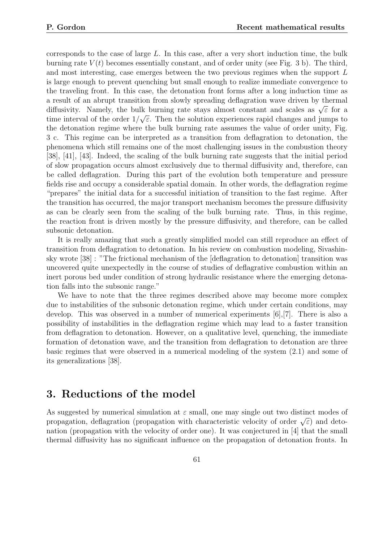corresponds to the case of large  $L$ . In this case, after a very short induction time, the bulk burning rate  $V(t)$  becomes essentially constant, and of order unity (see Fig. 3 b). The third, and most interesting, case emerges between the two previous regimes when the support L is large enough to prevent quenching but small enough to realize immediate convergence to the traveling front. In this case, the detonation front forms after a long induction time as a result of an abrupt transition from slowly spreading deflagration wave driven by thermal a result of an abrupt transition from slowly spreading denagration wave driven by thermal<br>diffusivity. Namely, the bulk burning rate stays almost constant and scales as  $\sqrt{\varepsilon}$  for a time interval of the order  $1/\sqrt{\varepsilon}$ . Then the solution experiences rapid changes and jumps to the detonation regime where the bulk burning rate assumes the value of order unity, Fig. 3 c. This regime can be interpreted as a transition from deflagration to detonation, the phenomena which still remains one of the most challenging issues in the combustion theory [38], [41], [43]. Indeed, the scaling of the bulk burning rate suggests that the initial period of slow propagation occurs almost exclusively due to thermal diffusivity and, therefore, can be called deflagration. During this part of the evolution both temperature and pressure fields rise and occupy a considerable spatial domain. In other words, the deflagration regime "prepares" the initial data for a successful initiation of transition to the fast regime. After the transition has occurred, the major transport mechanism becomes the pressure diffusivity as can be clearly seen from the scaling of the bulk burning rate. Thus, in this regime, the reaction front is driven mostly by the pressure diffusivity, and therefore, can be called subsonic detonation.

It is really amazing that such a greatly simplified model can still reproduce an effect of transition from deflagration to detonation. In his review on combustion modeling, Sivashinsky wrote [38] : "The frictional mechanism of the [deflagration to detonation] transition was uncovered quite unexpectedly in the course of studies of deflagrative combustion within an inert porous bed under condition of strong hydraulic resistance where the emerging detonation falls into the subsonic range."

We have to note that the three regimes described above may become more complex due to instabilities of the subsonic detonation regime, which under certain conditions, may develop. This was observed in a number of numerical experiments [6],[7]. There is also a possibility of instabilities in the deflagration regime which may lead to a faster transition from deflagration to detonation. However, on a qualitative level, quenching, the immediate formation of detonation wave, and the transition from deflagration to detonation are three basic regimes that were observed in a numerical modeling of the system (2.1) and some of its generalizations [38].

### 3. Reductions of the model

As suggested by numerical simulation at  $\varepsilon$  small, one may single out two distinct modes of As suggested by numerical simulation at  $\varepsilon$  sman, one may single out two distinct modes of propagation, deflagration (propagation with characteristic velocity of order  $\sqrt{\varepsilon}$ ) and detonation (propagation with the velocity of order one). It was conjectured in [4] that the small thermal diffusivity has no significant influence on the propagation of detonation fronts. In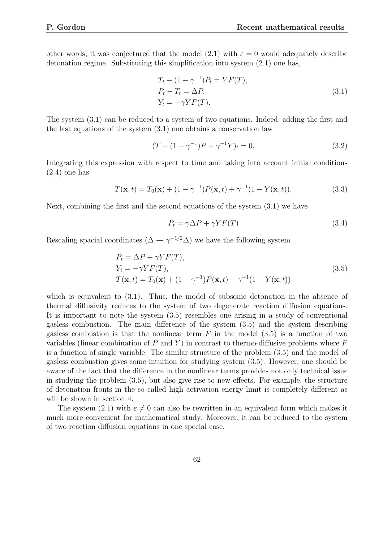other words, it was conjectured that the model (2.1) with  $\varepsilon = 0$  would adequately describe detonation regime. Substituting this simplification into system (2.1) one has,

$$
Tt - (1 - \gamma^{-1})Pt = YF(T),
$$
  
\n
$$
Pt - Tt = \Delta P,
$$
  
\n
$$
Yt = -\gamma Y F(T).
$$
\n(3.1)

The system (3.1) can be reduced to a system of two equations. Indeed, adding the first and the last equations of the system (3.1) one obtains a conservation law

$$
(T - (1 - \gamma^{-1})P + \gamma^{-1}Y)_t = 0.
$$
\n(3.2)

Integrating this expression with respect to time and taking into account initial conditions (2.4) one has

$$
T(\mathbf{x},t) = T_0(\mathbf{x}) + (1 - \gamma^{-1})P(\mathbf{x},t) + \gamma^{-1}(1 - Y(\mathbf{x},t)).
$$
\n(3.3)

Next, combining the first and the second equations of the system (3.1) we have

$$
P_t = \gamma \Delta P + \gamma Y F(T) \tag{3.4}
$$

Rescaling spacial coordinates  $(\Delta \to \gamma^{-1/2} \Delta)$  we have the following system

$$
P_t = \Delta P + \gamma Y F(T),
$$
  
\n
$$
Y_t = -\gamma Y F(T),
$$
  
\n
$$
T(\mathbf{x}, t) = T_0(\mathbf{x}) + (1 - \gamma^{-1}) P(\mathbf{x}, t) + \gamma^{-1} (1 - Y(\mathbf{x}, t))
$$
\n(3.5)

which is equivalent to  $(3.1)$ . Thus, the model of subsonic detonation in the absence of thermal diffusivity reduces to the system of two degenerate reaction diffusion equations. It is important to note the system (3.5) resembles one arising in a study of conventional gasless combustion. The main difference of the system (3.5) and the system describing gasless combustion is that the nonlinear term  $F$  in the model  $(3.5)$  is a function of two variables (linear combination of P and Y) in contrast to thermo-diffusive problems where  $F$ is a function of single variable. The similar structure of the problem (3.5) and the model of gasless combustion gives some intuition for studying system (3.5). However, one should be aware of the fact that the difference in the nonlinear terms provides not only technical issue in studying the problem (3.5), but also give rise to new effects. For example, the structure of detonation fronts in the so called high activation energy limit is completely different as will be shown in section 4.

The system (2.1) with  $\varepsilon \neq 0$  can also be rewritten in an equivalent form which makes it much more convenient for mathematical study. Moreover, it can be reduced to the system of two reaction diffusion equations in one special case.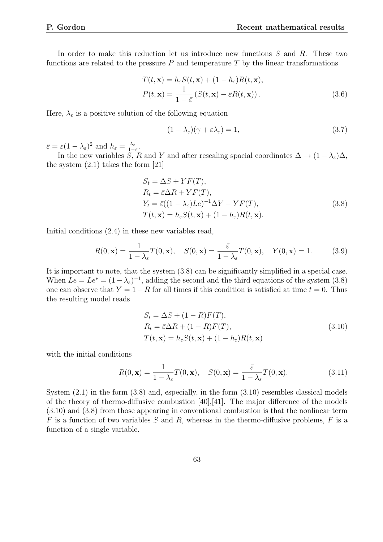In order to make this reduction let us introduce new functions  $S$  and  $R$ . These two functions are related to the pressure  $P$  and temperature  $T$  by the linear transformations

$$
T(t, \mathbf{x}) = h_{\varepsilon} S(t, \mathbf{x}) + (1 - h_{\varepsilon}) R(t, \mathbf{x}),
$$
  
\n
$$
P(t, \mathbf{x}) = \frac{1}{1 - \overline{\varepsilon}} (S(t, \mathbf{x}) - \overline{\varepsilon} R(t, \mathbf{x})).
$$
\n(3.6)

Here,  $\lambda_{\varepsilon}$  is a positive solution of the following equation

$$
(1 - \lambda_{\varepsilon})(\gamma + \varepsilon \lambda_{\varepsilon}) = 1,\tag{3.7}
$$

 $\bar{\varepsilon} = \varepsilon (1 - \lambda_{\varepsilon})^2$  and  $h_{\varepsilon} = \frac{\lambda_{\varepsilon}}{1 - \lambda_{\varepsilon}}$  $\frac{\lambda_\varepsilon}{1-\bar{\varepsilon}}.$ 

In the new variables S, R and Y and after rescaling spacial coordinates  $\Delta \to (1 - \lambda_{\varepsilon})\Delta$ , the system  $(2.1)$  takes the form  $[21]$ 

$$
S_t = \Delta S + YF(T),
$$
  
\n
$$
R_t = \bar{\varepsilon}\Delta R + YF(T),
$$
  
\n
$$
Y_t = \bar{\varepsilon}((1 - \lambda_{\varepsilon})Le)^{-1}\Delta Y - YF(T),
$$
  
\n
$$
T(t, \mathbf{x}) = h_{\varepsilon}S(t, \mathbf{x}) + (1 - h_{\varepsilon})R(t, \mathbf{x}).
$$
\n(3.8)

Initial conditions (2.4) in these new variables read,

$$
R(0, \mathbf{x}) = \frac{1}{1 - \lambda_{\varepsilon}} T(0, \mathbf{x}), \quad S(0, \mathbf{x}) = \frac{\bar{\varepsilon}}{1 - \lambda_{\varepsilon}} T(0, \mathbf{x}), \quad Y(0, \mathbf{x}) = 1.
$$
 (3.9)

It is important to note, that the system (3.8) can be significantly simplified in a special case. When  $Le = Le^* = (1 - \lambda_{\varepsilon})^{-1}$ , adding the second and the third equations of the system (3.8) one can observe that  $Y = 1 - R$  for all times if this condition is satisfied at time  $t = 0$ . Thus the resulting model reads

$$
S_t = \Delta S + (1 - R)F(T),
$$
  
\n
$$
R_t = \bar{\varepsilon}\Delta R + (1 - R)F(T),
$$
  
\n
$$
T(t, \mathbf{x}) = h_{\varepsilon}S(t, \mathbf{x}) + (1 - h_{\varepsilon})R(t, \mathbf{x})
$$
\n(3.10)

with the initial conditions

$$
R(0, \mathbf{x}) = \frac{1}{1 - \lambda_{\varepsilon}} T(0, \mathbf{x}), \quad S(0, \mathbf{x}) = \frac{\bar{\varepsilon}}{1 - \lambda_{\varepsilon}} T(0, \mathbf{x}).
$$
\n(3.11)

System (2.1) in the form (3.8) and, especially, in the form (3.10) resembles classical models of the theory of thermo-diffusive combustion [40],[41]. The major difference of the models (3.10) and (3.8) from those appearing in conventional combustion is that the nonlinear term  $F$  is a function of two variables  $S$  and  $R$ , whereas in the thermo-diffusive problems,  $F$  is a function of a single variable.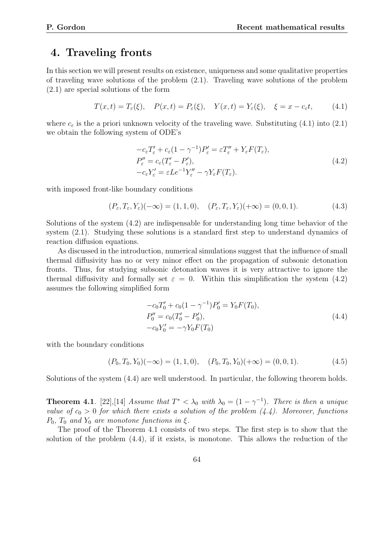### 4. Traveling fronts

In this section we will present results on existence, uniqueness and some qualitative properties of traveling wave solutions of the problem (2.1). Traveling wave solutions of the problem (2.1) are special solutions of the form

$$
T(x,t) = T_{\varepsilon}(\xi), \quad P(x,t) = P_{\varepsilon}(\xi), \quad Y(x,t) = Y_{\varepsilon}(\xi), \quad \xi = x - c_{\varepsilon}t,
$$
 (4.1)

where  $c_{\varepsilon}$  is the a priori unknown velocity of the traveling wave. Substituting (4.1) into (2.1) we obtain the following system of ODE's

$$
-c_{\varepsilon}T'_{\varepsilon} + c_{\varepsilon}(1-\gamma^{-1})P'_{\varepsilon} = \varepsilon T''_{\varepsilon} + Y_{\varepsilon}F(T_{\varepsilon}),
$$
  
\n
$$
P''_{\varepsilon} = c_{\varepsilon}(T'_{\varepsilon} - P'_{\varepsilon}),
$$
  
\n
$$
-c_{\varepsilon}Y'_{\varepsilon} = \varepsilon Le^{-1}Y''_{\varepsilon} - \gamma Y_{\varepsilon}F(T_{\varepsilon}).
$$
\n(4.2)

with imposed front-like boundary conditions

$$
(P_{\varepsilon}, T_{\varepsilon}, Y_{\varepsilon})(-\infty) = (1, 1, 0), \quad (P_{\varepsilon}, T_{\varepsilon}, Y_{\varepsilon})(+\infty) = (0, 0, 1). \tag{4.3}
$$

Solutions of the system (4.2) are indispensable for understanding long time behavior of the system (2.1). Studying these solutions is a standard first step to understand dynamics of reaction diffusion equations.

As discussed in the introduction, numerical simulations suggest that the influence of small thermal diffusivity has no or very minor effect on the propagation of subsonic detonation fronts. Thus, for studying subsonic detonation waves it is very attractive to ignore the thermal diffusivity and formally set  $\varepsilon = 0$ . Within this simplification the system (4.2) assumes the following simplified form

$$
-c_0T'_0 + c_0(1 - \gamma^{-1})P'_0 = Y_0F(T_0),
$$
  
\n
$$
P''_0 = c_0(T'_0 - P'_0),
$$
  
\n
$$
-c_0Y'_0 = -\gamma Y_0F(T_0)
$$
\n(4.4)

with the boundary conditions

$$
(P_0, T_0, Y_0)(-\infty) = (1, 1, 0), \quad (P_0, T_0, Y_0)(+\infty) = (0, 0, 1). \tag{4.5}
$$

Solutions of the system (4.4) are well understood. In particular, the following theorem holds.

**Theorem 4.1**. [22], [14] Assume that  $T^* < \lambda_0$  with  $\lambda_0 = (1 - \gamma^{-1})$ . There is then a unique value of  $c_0 > 0$  for which there exists a solution of the problem  $(4.4)$ . Moreover, functions  $P_0$ ,  $T_0$  and  $Y_0$  are monotone functions in ξ.

The proof of the Theorem 4.1 consists of two steps. The first step is to show that the solution of the problem (4.4), if it exists, is monotone. This allows the reduction of the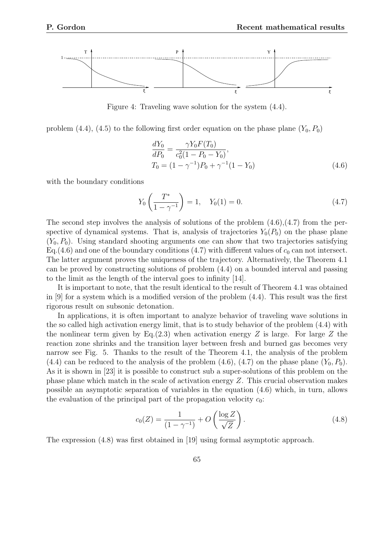

Figure 4: Traveling wave solution for the system (4.4).

problem (4.4), (4.5) to the following first order equation on the phase plane  $(Y_0, P_0)$ 

$$
\frac{dY_0}{dP_0} = \frac{\gamma Y_0 F(T_0)}{c_0^2 (1 - P_0 - Y_0)},
$$
  
\n
$$
T_0 = (1 - \gamma^{-1}) P_0 + \gamma^{-1} (1 - Y_0)
$$
\n(4.6)

with the boundary conditions

$$
Y_0\left(\frac{T^*}{1-\gamma^{-1}}\right) = 1, \quad Y_0(1) = 0. \tag{4.7}
$$

The second step involves the analysis of solutions of the problem  $(4.6)$ , $(4.7)$  from the perspective of dynamical systems. That is, analysis of trajectories  $Y_0(P_0)$  on the phase plane  $(Y_0, P_0)$ . Using standard shooting arguments one can show that two trajectories satisfying Eq.(4.6) and one of the boundary conditions (4.7) with different values of  $c_0$  can not intersect. The latter argument proves the uniqueness of the trajectory. Alternatively, the Theorem 4.1 can be proved by constructing solutions of problem (4.4) on a bounded interval and passing to the limit as the length of the interval goes to infinity [14].

It is important to note, that the result identical to the result of Theorem 4.1 was obtained in [9] for a system which is a modified version of the problem (4.4). This result was the first rigorous result on subsonic detonation.

In applications, it is often important to analyze behavior of traveling wave solutions in the so called high activation energy limit, that is to study behavior of the problem (4.4) with the nonlinear term given by Eq.(2.3) when activation energy  $Z$  is large. For large  $Z$  the reaction zone shrinks and the transition layer between fresh and burned gas becomes very narrow see Fig. 5. Thanks to the result of the Theorem 4.1, the analysis of the problem (4.4) can be reduced to the analysis of the problem (4.6), (4.7) on the phase plane  $(Y_0, P_0)$ . As it is shown in [23] it is possible to construct sub a super-solutions of this problem on the phase plane which match in the scale of activation energy Z. This crucial observation makes possible an asymptotic separation of variables in the equation (4.6) which, in turn, allows the evaluation of the principal part of the propagation velocity  $c_0$ :

$$
c_0(Z) = \frac{1}{(1 - \gamma^{-1})} + O\left(\frac{\log Z}{\sqrt{Z}}\right).
$$
 (4.8)

The expression (4.8) was first obtained in [19] using formal asymptotic approach.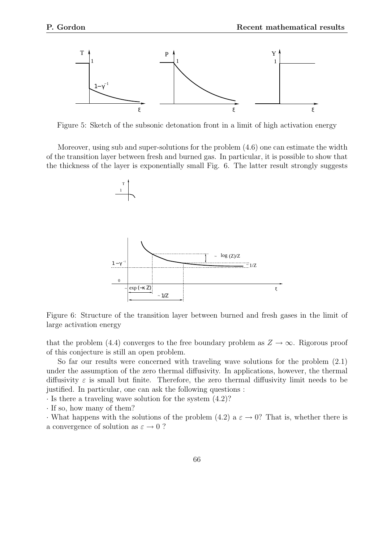

Figure 5: Sketch of the subsonic detonation front in a limit of high activation energy

Moreover, using sub and super-solutions for the problem (4.6) one can estimate the width of the transition layer between fresh and burned gas. In particular, it is possible to show that the thickness of the layer is exponentially small Fig. 6. The latter result strongly suggests



Figure 6: Structure of the transition layer between burned and fresh gases in the limit of large activation energy

that the problem (4.4) converges to the free boundary problem as  $Z \to \infty$ . Rigorous proof of this conjecture is still an open problem.

So far our results were concerned with traveling wave solutions for the problem (2.1) under the assumption of the zero thermal diffusivity. In applications, however, the thermal diffusivity  $\varepsilon$  is small but finite. Therefore, the zero thermal diffusivity limit needs to be justified. In particular, one can ask the following questions :

· Is there a traveling wave solution for the system (4.2)?

· If so, how many of them?

• What happens with the solutions of the problem (4.2) a  $\varepsilon \to 0$ ? That is, whether there is a convergence of solution as  $\varepsilon \to 0$ ?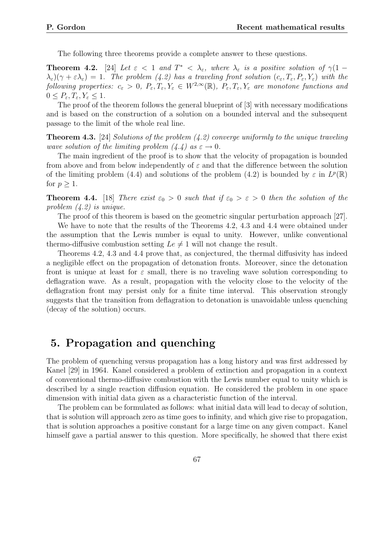The following three theorems provide a complete answer to these questions.

**Theorem 4.2.** [24] Let  $\varepsilon$  < 1 and  $T^*$  <  $\lambda_{\varepsilon}$ , where  $\lambda_{\varepsilon}$  is a positive solution of  $\gamma(1 \lambda_{\varepsilon}$ )( $\gamma + \varepsilon \lambda_{\varepsilon}$ ) = 1. The problem (4.2) has a traveling front solution ( $c_{\varepsilon}$ ,  $T_{\varepsilon}$ ,  $P_{\varepsilon}$ ,  $Y_{\varepsilon}$ ) with the following properties:  $c_{\varepsilon} > 0$ ,  $P_{\varepsilon}, T_{\varepsilon}, Y_{\varepsilon} \in W^{2,\infty}(\mathbb{R})$ ,  $P_{\varepsilon}, T_{\varepsilon}, Y_{\varepsilon}$  are monotone functions and  $0 \leq P_{\varepsilon}, T_{\varepsilon}, Y_{\varepsilon} \leq 1.$ 

The proof of the theorem follows the general blueprint of [3] with necessary modifications and is based on the construction of a solution on a bounded interval and the subsequent passage to the limit of the whole real line.

**Theorem 4.3.** [24] Solutions of the problem  $(4.2)$  converge uniformly to the unique traveling wave solution of the limiting problem  $(4.4)$  as  $\varepsilon \to 0$ .

The main ingredient of the proof is to show that the velocity of propagation is bounded from above and from below independently of  $\varepsilon$  and that the difference between the solution of the limiting problem (4.4) and solutions of the problem (4.2) is bounded by  $\varepsilon$  in  $L^p(\mathbb{R})$ for  $p \geq 1$ .

**Theorem 4.4.** [18] There exist  $\varepsilon_0 > 0$  such that if  $\varepsilon_0 > \varepsilon > 0$  then the solution of the problem (4.2) is unique.

The proof of this theorem is based on the geometric singular perturbation approach [27].

We have to note that the results of the Theorems 4.2, 4.3 and 4.4 were obtained under the assumption that the Lewis number is equal to unity. However, unlike conventional thermo-diffusive combustion setting  $Le \neq 1$  will not change the result.

Theorems 4.2, 4.3 and 4.4 prove that, as conjectured, the thermal diffusivity has indeed a negligible effect on the propagation of detonation fronts. Moreover, since the detonation front is unique at least for  $\varepsilon$  small, there is no traveling wave solution corresponding to deflagration wave. As a result, propagation with the velocity close to the velocity of the deflagration front may persist only for a finite time interval. This observation strongly suggests that the transition from deflagration to detonation is unavoidable unless quenching (decay of the solution) occurs.

### 5. Propagation and quenching

The problem of quenching versus propagation has a long history and was first addressed by Kanel [29] in 1964. Kanel considered a problem of extinction and propagation in a context of conventional thermo-diffusive combustion with the Lewis number equal to unity which is described by a single reaction diffusion equation. He considered the problem in one space dimension with initial data given as a characteristic function of the interval.

The problem can be formulated as follows: what initial data will lead to decay of solution, that is solution will approach zero as time goes to infinity, and which give rise to propagation, that is solution approaches a positive constant for a large time on any given compact. Kanel himself gave a partial answer to this question. More specifically, he showed that there exist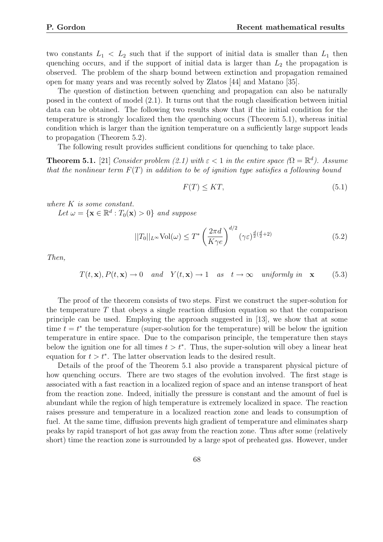two constants  $L_1 < L_2$  such that if the support of initial data is smaller than  $L_1$  then quenching occurs, and if the support of initial data is larger than  $L_2$  the propagation is observed. The problem of the sharp bound between extinction and propagation remained open for many years and was recently solved by Zlatos [44] and Matano [35].

The question of distinction between quenching and propagation can also be naturally posed in the context of model (2.1). It turns out that the rough classification between initial data can be obtained. The following two results show that if the initial condition for the temperature is strongly localized then the quenching occurs (Theorem 5.1), whereas initial condition which is larger than the ignition temperature on a sufficiently large support leads to propagation (Theorem 5.2).

The following result provides sufficient conditions for quenching to take place.

**Theorem 5.1.** [21] Consider problem (2.1) with  $\varepsilon < 1$  in the entire space ( $\Omega = \mathbb{R}^d$ ). Assume that the nonlinear term  $F(T)$  in addition to be of ignition type satisfies a following bound

$$
F(T) \le KT,\tag{5.1}
$$

where K is some constant.

Let  $\omega = {\mathbf{x} \in \mathbb{R}^d : T_0(\mathbf{x}) > 0}$  and suppose

$$
||T_0||_{L^{\infty}} \text{Vol}(\omega) \le T^* \left(\frac{2\pi d}{K\gamma e}\right)^{d/2} (\gamma \varepsilon)^{\frac{d}{2}\left(\frac{d}{2}+2\right)}\tag{5.2}
$$

Then,

$$
T(t, \mathbf{x}), P(t, \mathbf{x}) \to 0
$$
 and  $Y(t, \mathbf{x}) \to 1$  as  $t \to \infty$  uniformly in  $\mathbf{x}$  (5.3)

The proof of the theorem consists of two steps. First we construct the super-solution for the temperature  $T$  that obeys a single reaction diffusion equation so that the comparison principle can be used. Employing the approach suggested in [13], we show that at some time  $t = t^*$  the temperature (super-solution for the temperature) will be below the ignition temperature in entire space. Due to the comparison principle, the temperature then stays below the ignition one for all times  $t > t^*$ . Thus, the super-solution will obey a linear heat equation for  $t > t^*$ . The latter observation leads to the desired result.

Details of the proof of the Theorem 5.1 also provide a transparent physical picture of how quenching occurs. There are two stages of the evolution involved. The first stage is associated with a fast reaction in a localized region of space and an intense transport of heat from the reaction zone. Indeed, initially the pressure is constant and the amount of fuel is abundant while the region of high temperature is extremely localized in space. The reaction raises pressure and temperature in a localized reaction zone and leads to consumption of fuel. At the same time, diffusion prevents high gradient of temperature and eliminates sharp peaks by rapid transport of hot gas away from the reaction zone. Thus after some (relatively short) time the reaction zone is surrounded by a large spot of preheated gas. However, under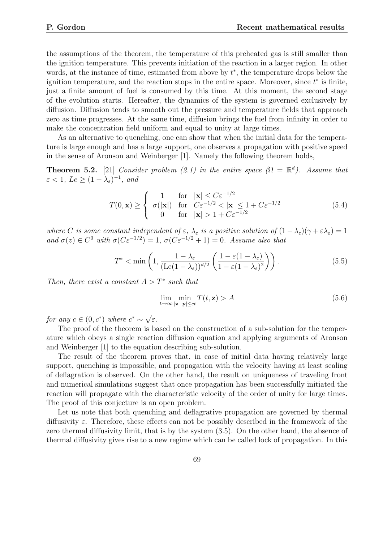the assumptions of the theorem, the temperature of this preheated gas is still smaller than the ignition temperature. This prevents initiation of the reaction in a larger region. In other words, at the instance of time, estimated from above by  $t^*$ , the temperature drops below the ignition temperature, and the reaction stops in the entire space. Moreover, since  $t^*$  is finite, just a finite amount of fuel is consumed by this time. At this moment, the second stage of the evolution starts. Hereafter, the dynamics of the system is governed exclusively by diffusion. Diffusion tends to smooth out the pressure and temperature fields that approach zero as time progresses. At the same time, diffusion brings the fuel from infinity in order to make the concentration field uniform and equal to unity at large times.

As an alternative to quenching, one can show that when the initial data for the temperature is large enough and has a large support, one observes a propagation with positive speed in the sense of Aronson and Weinberger [1]. Namely the following theorem holds,

**Theorem 5.2.** [21] Consider problem (2.1) in the entire space  $(\Omega = \mathbb{R}^d)$ . Assume that  $\varepsilon < 1, \, Le \geq (1 - \lambda_{\varepsilon})^{-1}, \, and$ 

$$
T(0, \mathbf{x}) \ge \begin{cases} 1 & \text{for } |\mathbf{x}| \le C\varepsilon^{-1/2} \\ \sigma(|\mathbf{x}|) & \text{for } C\varepsilon^{-1/2} < |\mathbf{x}| \le 1 + C\varepsilon^{-1/2} \\ 0 & \text{for } |\mathbf{x}| > 1 + C\varepsilon^{-1/2} \end{cases}
$$
(5.4)

where C is some constant independent of  $\varepsilon$ ,  $\lambda_{\varepsilon}$  is a positive solution of  $(1-\lambda_{\varepsilon})(\gamma+\varepsilon\lambda_{\varepsilon})=1$ and  $\sigma(z) \in C^0$  with  $\sigma(C\varepsilon^{-1/2}) = 1$ ,  $\sigma(C\varepsilon^{-1/2} + 1) = 0$ . Assume also that

$$
T^* < \min\left(1, \frac{1 - \lambda_\varepsilon}{(\text{Le}(1 - \lambda_\varepsilon))^{d/2}} \left(\frac{1 - \varepsilon(1 - \lambda_\varepsilon)}{1 - \varepsilon(1 - \lambda_\varepsilon)^2}\right)\right). \tag{5.5}
$$

Then, there exist a constant  $A > T^*$  such that

$$
\lim_{t \to \infty} \min_{|\mathbf{z} - \mathbf{y}| \le ct} T(t, \mathbf{z}) > A \tag{5.6}
$$

for any  $c \in (0, c^*)$  where  $c^* \sim \sqrt{ }$ ε.

The proof of the theorem is based on the construction of a sub-solution for the temperature which obeys a single reaction diffusion equation and applying arguments of Aronson and Weinberger [1] to the equation describing sub-solution.

The result of the theorem proves that, in case of initial data having relatively large support, quenching is impossible, and propagation with the velocity having at least scaling of deflagration is observed. On the other hand, the result on uniqueness of traveling front and numerical simulations suggest that once propagation has been successfully initiated the reaction will propagate with the characteristic velocity of the order of unity for large times. The proof of this conjecture is an open problem.

Let us note that both quenching and deflagrative propagation are governed by thermal diffusivity  $\varepsilon$ . Therefore, these effects can not be possibly described in the framework of the zero thermal diffusivity limit, that is by the system (3.5). On the other hand, the absence of thermal diffusivity gives rise to a new regime which can be called lock of propagation. In this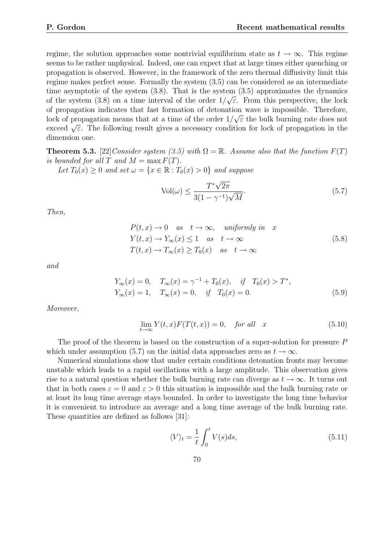regime, the solution approaches some nontrivial equilibrium state as  $t \to \infty$ . This regime seems to be rather unphysical. Indeed, one can expect that at large times either quenching or propagation is observed. However, in the framework of the zero thermal diffusivity limit this regime makes perfect sense. Formally the system (3.5) can be considered as an intermediate time asymptotic of the system (3.8). That is the system (3.5) approximates the dynamics of the system (3.8) on a time interval of the order  $1/\sqrt{\varepsilon}$ . From this perspective, the lock of propagation indicates that fast formation of detonation wave is impossible. Therefore, lock of propagation means that at a time of the order  $1/\sqrt{\varepsilon}$  the bulk burning rate does not exceed  $\sqrt{\varepsilon}$ . The following result gives a necessary condition for lock of propagation in the dimension one.

**Theorem 5.3.** [22] Consider system (3.5) with  $\Omega = \mathbb{R}$ . Assume also that the function  $F(T)$ is bounded for all T and  $M = \max F(T)$ .

Let  $T_0(x) \geq 0$  and set  $\omega = \{x \in \mathbb{R} : T_0(x) > 0\}$  and suppose

$$
Vol(\omega) \le \frac{T^*\sqrt{2\pi}}{3(1-\gamma^{-1})\sqrt{M}}.\tag{5.7}
$$

Then,

$$
P(t, x) \to 0 \quad as \quad t \to \infty, \quad uniformly \ in \quad x
$$
  
\n
$$
Y(t, x) \to Y_{\infty}(x) \le 1 \quad as \quad t \to \infty
$$
  
\n
$$
T(t, x) \to T_{\infty}(x) \ge T_0(x) \quad as \quad t \to \infty
$$
\n(5.8)

and

$$
Y_{\infty}(x) = 0, \quad T_{\infty}(x) = \gamma^{-1} + T_0(x), \quad \text{if} \quad T_0(x) > T^*,
$$
  
\n
$$
Y_{\infty}(x) = 1, \quad T_{\infty}(x) = 0, \quad \text{if} \quad T_0(x) = 0.
$$
\n(5.9)

Moreover,

$$
\lim_{t \to \infty} Y(t, x) F(T(t, x)) = 0, \quad \text{for all} \quad x \tag{5.10}
$$

The proof of the theorem is based on the construction of a super-solution for pressure P which under assumption (5.7) on the initial data approaches zero as  $t \to \infty$ .

Numerical simulations show that under certain conditions detonation fronts may become unstable which leads to a rapid oscillations with a large amplitude. This observation gives rise to a natural question whether the bulk burning rate can diverge as  $t \to \infty$ . It turns out that in both cases  $\varepsilon = 0$  and  $\varepsilon > 0$  this situation is impossible and the bulk burning rate or at least its long time average stays bounded. In order to investigate the long time behavior it is convenient to introduce an average and a long time average of the bulk burning rate. These quantities are defined as follows [31]:

$$
\langle V \rangle_t = \frac{1}{t} \int_0^t V(s) ds,
$$
\n(5.11)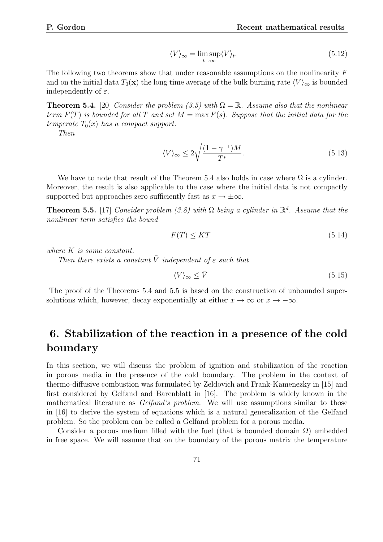$$
\langle V \rangle_{\infty} = \limsup_{t \to \infty} \langle V \rangle_{t}.
$$
\n(5.12)

The following two theorems show that under reasonable assumptions on the nonlinearity F and on the initial data  $T_0(\mathbf{x})$  the long time average of the bulk burning rate  $\langle V \rangle_{\infty}$  is bounded independently of  $\varepsilon$ .

**Theorem 5.4.** [20] Consider the problem (3.5) with  $\Omega = \mathbb{R}$ . Assume also that the nonlinear term  $F(T)$  is bounded for all T and set  $M = \max F(s)$ . Suppose that the initial data for the temperate  $T_0(x)$  has a compact support.

Then

$$
\langle V \rangle_{\infty} \le 2\sqrt{\frac{(1-\gamma^{-1})M}{T^*}}.\tag{5.13}
$$

We have to note that result of the Theorem 5.4 also holds in case where  $\Omega$  is a cylinder. Moreover, the result is also applicable to the case where the initial data is not compactly supported but approaches zero sufficiently fast as  $x \to \pm \infty$ .

**Theorem 5.5.** [17] Consider problem (3.8) with  $\Omega$  being a cylinder in  $\mathbb{R}^d$ . Assume that the nonlinear term satisfies the bound

$$
F(T) \le KT \tag{5.14}
$$

where K is some constant.

Then there exists a constant  $\overline{V}$  independent of  $\varepsilon$  such that

$$
\langle V \rangle_{\infty} \le \bar{V} \tag{5.15}
$$

The proof of the Theorems 5.4 and 5.5 is based on the construction of unbounded supersolutions which, however, decay exponentially at either  $x \to \infty$  or  $x \to -\infty$ .

# 6. Stabilization of the reaction in a presence of the cold boundary

In this section, we will discuss the problem of ignition and stabilization of the reaction in porous media in the presence of the cold boundary. The problem in the context of thermo-diffusive combustion was formulated by Zeldovich and Frank-Kamenezky in [15] and first considered by Gelfand and Barenblatt in [16]. The problem is widely known in the mathematical literature as Gelfand's problem. We will use assumptions similar to those in [16] to derive the system of equations which is a natural generalization of the Gelfand problem. So the problem can be called a Gelfand problem for a porous media.

Consider a porous medium filled with the fuel (that is bounded domain  $\Omega$ ) embedded in free space. We will assume that on the boundary of the porous matrix the temperature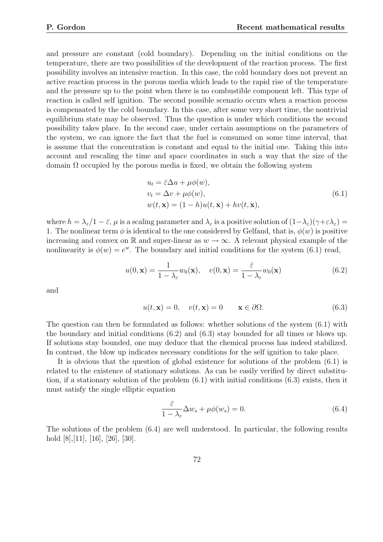and pressure are constant (cold boundary). Depending on the initial conditions on the temperature, there are two possibilities of the development of the reaction process. The first possibility involves an intensive reaction. In this case, the cold boundary does not prevent an active reaction process in the porous media which leads to the rapid rise of the temperature and the pressure up to the point when there is no combustible component left. This type of reaction is called self ignition. The second possible scenario occurs when a reaction process is compensated by the cold boundary. In this case, after some very short time, the nontrivial equilibrium state may be observed. Thus the question is under which conditions the second possibility takes place. In the second case, under certain assumptions on the parameters of the system, we can ignore the fact that the fuel is consumed on some time interval, that is assume that the concentration is constant and equal to the initial one. Taking this into account and rescaling the time and space coordinates in such a way that the size of the domain  $\Omega$  occupied by the porous media is fixed, we obtain the following system

$$
u_t = \bar{\varepsilon}\Delta u + \mu\phi(w),
$$
  
\n
$$
v_t = \Delta v + \mu\phi(w),
$$
  
\n
$$
w(t, \mathbf{x}) = (1 - h)u(t, \mathbf{x}) + hv(t, \mathbf{x}),
$$
\n(6.1)

where  $h = \lambda_{\varepsilon}/1 - \bar{\varepsilon}$ ,  $\mu$  is a scaling parameter and  $\lambda_{\varepsilon}$  is a positive solution of  $(1-\lambda_{\varepsilon})(\gamma + \varepsilon \lambda_{\varepsilon}) =$ 1. The nonlinear term  $\phi$  is identical to the one considered by Gelfand, that is,  $\phi(w)$  is positive increasing and convex on R and super-linear as  $w \to \infty$ . A relevant physical example of the nonlinearity is  $\phi(w) = e^w$ . The boundary and initial conditions for the system (6.1) read,

$$
u(0, \mathbf{x}) = \frac{1}{1 - \lambda_{\varepsilon}} w_0(\mathbf{x}), \quad v(0, \mathbf{x}) = \frac{\bar{\varepsilon}}{1 - \lambda_{\varepsilon}} w_0(\mathbf{x})
$$
(6.2)

and

$$
u(t, \mathbf{x}) = 0, \quad v(t, \mathbf{x}) = 0 \qquad \mathbf{x} \in \partial \Omega. \tag{6.3}
$$

The question can then be formulated as follows: whether solutions of the system (6.1) with the boundary and initial conditions (6.2) and (6.3) stay bounded for all times or blows up. If solutions stay bounded, one may deduce that the chemical process has indeed stabilized. In contrast, the blow up indicates necessary conditions for the self ignition to take place.

It is obvious that the question of global existence for solutions of the problem (6.1) is related to the existence of stationary solutions. As can be easily verified by direct substitution, if a stationary solution of the problem (6.1) with initial conditions (6.3) exists, then it must satisfy the single elliptic equation

$$
\frac{\bar{\varepsilon}}{1 - \lambda_{\varepsilon}} \Delta w_s + \mu \phi(w_s) = 0.
$$
\n(6.4)

The solutions of the problem (6.4) are well understood. In particular, the following results hold [8],[11], [16], [26], [30].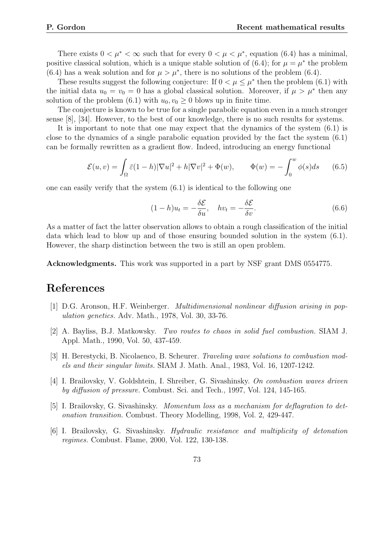There exists  $0 < \mu^* < \infty$  such that for every  $0 < \mu < \mu^*$ , equation (6.4) has a minimal, positive classical solution, which is a unique stable solution of (6.4); for  $\mu = \mu^*$  the problem (6.4) has a weak solution and for  $\mu > \mu^*$ , there is no solutions of the problem (6.4).

These results suggest the following conjecture: If  $0 < \mu \leq \mu^*$  then the problem (6.1) with the initial data  $u_0 = v_0 = 0$  has a global classical solution. Moreover, if  $\mu > \mu^*$  then any solution of the problem (6.1) with  $u_0, v_0 \ge 0$  blows up in finite time.

The conjecture is known to be true for a single parabolic equation even in a much stronger sense [8], [34]. However, to the best of our knowledge, there is no such results for systems.

It is important to note that one may expect that the dynamics of the system (6.1) is close to the dynamics of a single parabolic equation provided by the fact the system (6.1) can be formally rewritten as a gradient flow. Indeed, introducing an energy functional

$$
\mathcal{E}(u,v) = \int_{\Omega} \bar{\varepsilon}(1-h) |\nabla u|^2 + h |\nabla v|^2 + \Phi(w), \qquad \Phi(w) = -\int_0^w \phi(s) ds \qquad (6.5)
$$

one can easily verify that the system  $(6.1)$  is identical to the following one

$$
(1-h)u_t = -\frac{\delta \mathcal{E}}{\delta u}, \quad hv_t = -\frac{\delta \mathcal{E}}{\delta v}.
$$
\n(6.6)

As a matter of fact the latter observation allows to obtain a rough classification of the initial data which lead to blow up and of those ensuring bounded solution in the system (6.1). However, the sharp distinction between the two is still an open problem.

Acknowledgments. This work was supported in a part by NSF grant DMS 0554775.

### References

- [1] D.G. Aronson, H.F. Weinberger. Multidimensional nonlinear diffusion arising in population genetics. Adv. Math., 1978, Vol. 30, 33-76.
- [2] A. Bayliss, B.J. Matkowsky. Two routes to chaos in solid fuel combustion. SIAM J. Appl. Math., 1990, Vol. 50, 437-459.
- [3] H. Berestycki, B. Nicolaenco, B. Scheurer. Traveling wave solutions to combustion models and their singular limits. SIAM J. Math. Anal., 1983, Vol. 16, 1207-1242.
- [4] I. Brailovsky, V. Goldshtein, I. Shreiber, G. Sivashinsky. On combustion waves driven by diffusion of pressure. Combust. Sci. and Tech., 1997, Vol. 124, 145-165.
- [5] I. Brailovsky, G. Sivashinsky. Momentum loss as a mechanism for deflagration to detonation transition. Combust. Theory Modelling, 1998, Vol. 2, 429-447.
- [6] I. Brailovsky, G. Sivashinsky. Hydraulic resistance and multiplicity of detonation regimes. Combust. Flame, 2000, Vol. 122, 130-138.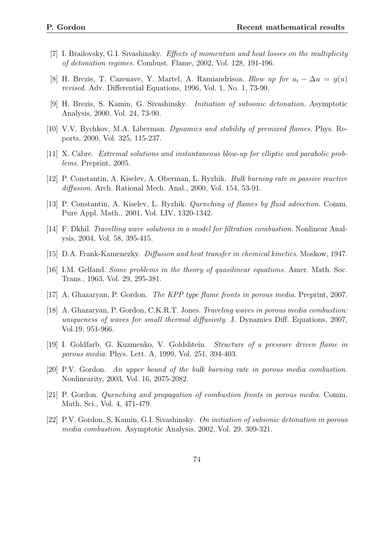- [7] I. Brailovsky, G.I. Sivashinsky. Effects of momentum and heat losses on the multiplicity of detonation regimes. Combust. Flame, 2002, Vol. 128, 191-196.
- [8] H. Brezis, T. Cazenave, Y. Martel, A. Ramiandrisoa. Blow up for  $u_t \Delta u = g(u)$ revised. Adv. Differential Equations, 1996, Vol. 1, No. 1, 73-90.
- [9] H. Brezis, S. Kamin, G. Sivashinsky. Initiation of subsonic detonation. Asymptotic Analysis, 2000, Vol. 24, 73-90.
- [10] V.V. Bychkov, M.A. Liberman. Dynamics and stability of premixed flames. Phys. Reports, 2000, Vol. 325, 115-237.
- [11] X. Cabre. Extremal solutions and instantaneous blow-up for elliptic and parabolic problems. Preprint, 2005.
- [12] P. Constantin, A. Kiselev, A. Oberman, L. Ryzhik. Bulk burning rate in passive reactive diffusion. Arch. Rational Mech. Anal., 2000, Vol. 154, 53-91.
- [13] P. Constantin, A. Kiselev, L. Ryzhik. Quenching of flames by fluid advection. Comm. Pure Appl. Math., 2001, Vol. LIV, 1320-1342.
- [14] F. Dkhil. Travelling wave solutions in a model for filtration combustion. Nonlinear Analysis, 2004, Vol. 58, 395-415.
- [15] D.A. Frank-Kamenezky. Diffusion and heat transfer in chemical kinetics. Moskow, 1947.
- [16] I.M. Gelfand. Some problems in the theory of quasilinear equations. Amer. Math. Soc. Trans., 1963, Vol. 29, 295-381.
- [17] A. Ghazaryan, P. Gordon. The KPP type flame fronts in porous media. Preprint, 2007.
- [18] A. Ghazaryan, P. Gordon, C.K.R.T. Jones. Traveling waves in porous media combustion: uniqueness of waves for small thermal diffusivity. J. Dynamics Diff. Equations, 2007, Vol.19, 951-966.
- [19] I. Goldfarb, G. Kuzmenko, V. Goldshtein. Structure of a pressure driven flame in porous media. Phys. Lett. A, 1999, Vol. 251, 394-403.
- [20] P.V. Gordon. An upper bound of the bulk burning rate in porous media combustion. Nonlinearity, 2003, Vol. 16, 2075-2082.
- [21] P. Gordon. Quenching and propagation of combustion fronts in porous media. Comm. Math. Sci., Vol. 4, 471-479.
- [22] P.V. Gordon, S. Kamin, G.I. Sivashinsky. On initiation of subsonic detonation in porous media combustion. Asymptotic Analysis, 2002, Vol. 29, 309-321.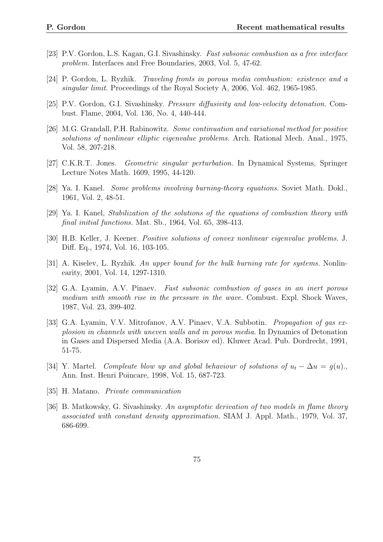- [23] P.V. Gordon, L.S. Kagan, G.I. Sivashinsky. Fast subsonic combustion as a free interface problem. Interfaces and Free Boundaries, 2003, Vol. 5, 47-62.
- [24] P. Gordon, L. Ryzhik. Traveling fronts in porous media combustion: existence and a singular limit. Proceedings of the Royal Society A, 2006, Vol. 462, 1965-1985.
- [25] P.V. Gordon, G.I. Sivashinsky. Pressure diffusivity and low-velocity detonation. Combust. Flame, 2004, Vol. 136, No. 4, 440-444.
- [26] M.G. Grandall, P.H. Rabinowitz. Some continuation and variational method for positive solutions of nonlinear elliptic eigenvalue problems. Arch. Rational Mech. Anal., 1975, Vol. 58, 207-218.
- [27] C.K.R.T. Jones. Geometric singular perturbation. In Dynamical Systems, Springer Lecture Notes Math. 1609, 1995, 44-120.
- [28] Ya. I. Kanel. Some problems involving burning-theory equations. Soviet Math. Dokl., 1961, Vol. 2, 48-51.
- [29] Ya. I. Kanel, Stabilization of the solutions of the equations of combustion theory with final initial functions. Mat. Sb., 1964, Vol. 65, 398-413.
- [30] H.B. Keller, J. Keener. Positive solutions of convex nonlinear eigenvalue problems. J. Diff. Eq., 1974, Vol. 16, 103-105.
- [31] A. Kiselev, L. Ryzhik. An upper bound for the bulk burning rate for systems. Nonlinearity, 2001, Vol. 14, 1297-1310.
- [32] G.A. Lyamin, A.V. Pinaev. Fast subsonic combustion of gases in an inert porous medium with smooth rise in the pressure in the wave. Combust. Expl. Shock Waves, 1987, Vol. 23, 399-402.
- [33] G.A. Lyamin, V.V. Mitrofanov, A.V. Pinaev, V.A. Subbotin. *Propagation of gas ex*plosion in channels with uneven walls and in porous media. In Dynamics of Detonation in Gases and Dispersed Media (A.A. Borisov ed). Kluwer Acad. Pub. Dordrecht, 1991, 51-75.
- [34] Y. Martel. Compleate blow up and global behaviour of solutions of  $u_t \Delta u = q(u)$ . Ann. Inst. Henri Poincare, 1998, Vol. 15, 687-723.
- [35] H. Matano. Private communication
- [36] B. Matkowsky, G. Sivashinsky. An asymptotic derivation of two models in flame theory associated with constant density approximation. SIAM J. Appl. Math., 1979, Vol. 37, 686-699.